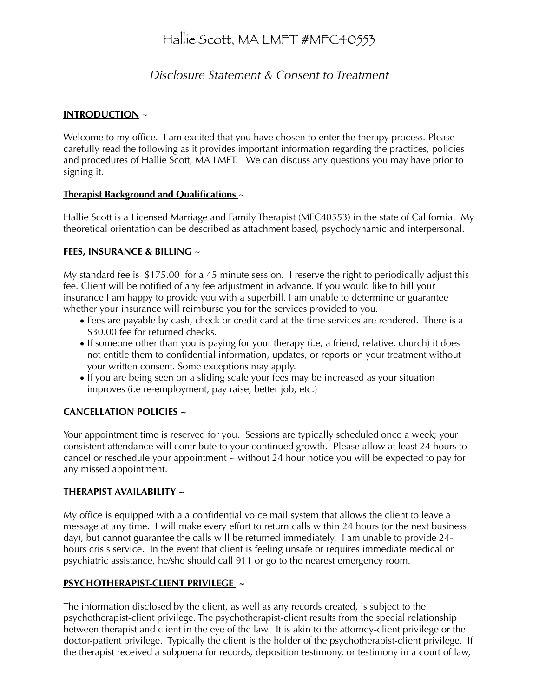# Hallie Scott, MA LMFT #MFC40553

# *Disclosure Statement & Consent to Treatment*

### **INTRODUCTION** ~

Welcome to my office. I am excited that you have chosen to enter the therapy process. Please carefully read the following as it provides important information regarding the practices, policies and procedures of Hallie Scott, MA LMFT. We can discuss any questions you may have prior to signing it.

#### **Therapist Background and Qualifications** ~

Hallie Scott is a Licensed Marriage and Family Therapist (MFC40553) in the state of California. My theoretical orientation can be described as attachment based, psychodynamic and interpersonal.

#### **FEES, INSURANCE & BILLING** ~

My standard fee is \$175.00 for a 45 minute session. I reserve the right to periodically adjust this fee. Client will be notified of any fee adjustment in advance. If you would like to bill your insurance I am happy to provide you with a superbill. I am unable to determine or guarantee whether your insurance will reimburse you for the services provided to you.

- Fees are payable by cash, check or credit card at the time services are rendered. There is a \$30.00 fee for returned checks.
- If someone other than you is paying for your therapy (i.e, a friend, relative, church) it does not entitle them to confidential information, updates, or reports on your treatment without your written consent. Some exceptions may apply.
- If you are being seen on a sliding scale your fees may be increased as your situation improves (i.e re-employment, pay raise, better job, etc.)

# **CANCELLATION POLICIES ~**

Your appointment time is reserved for you. Sessions are typically scheduled once a week; your consistent attendance will contribute to your continued growth. Please allow at least 24 hours to cancel or reschedule your appointment ~ without 24 hour notice you will be expected to pay for any missed appointment.

#### **THERAPIST AVAILABILITY ~**

My office is equipped with a a confidential voice mail system that allows the client to leave a message at any time. I will make every effort to return calls within 24 hours (or the next business day), but cannot guarantee the calls will be returned immediately. I am unable to provide 24 hours crisis service. In the event that client is feeling unsafe or requires immediate medical or psychiatric assistance, he/she should call 911 or go to the nearest emergency room.

#### **PSYCHOTHERAPIST-CLIENT PRIVILEGE ~**

The information disclosed by the client, as well as any records created, is subject to the psychotherapist-client privilege. The psychotherapist-client results from the special relationship between therapist and client in the eye of the law. It is akin to the attorney-client privilege or the doctor-patient privilege. Typically the client is the holder of the psychotherapist-client privilege. If the therapist received a subpoena for records, deposition testimony, or testimony in a court of law,